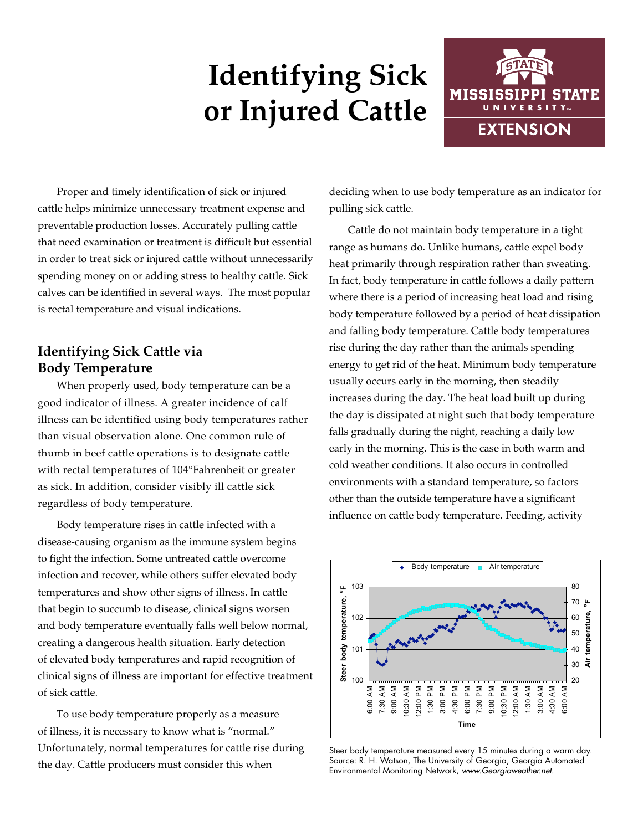# **Identifying Sick or Injured Cattle**



Proper and timely identification of sick or injured cattle helps minimize unnecessary treatment expense and preventable production losses. Accurately pulling cattle that need examination or treatment is difficult but essential in order to treat sick or injured cattle without unnecessarily spending money on or adding stress to healthy cattle. Sick calves can be identified in several ways. The most popular is rectal temperature and visual indications.

## **Identifying Sick Cattle via Body Temperature**

When properly used, body temperature can be a good indicator of illness. A greater incidence of calf illness can be identified using body temperatures rather than visual observation alone. One common rule of thumb in beef cattle operations is to designate cattle with rectal temperatures of 104°Fahrenheit or greater as sick. In addition, consider visibly ill cattle sick regardless of body temperature.

Body temperature rises in cattle infected with a disease-causing organism as the immune system begins to fight the infection. Some untreated cattle overcome infection and recover, while others suffer elevated body temperatures and show other signs of illness. In cattle that begin to succumb to disease, clinical signs worsen and body temperature eventually falls well below normal, creating a dangerous health situation. Early detection of elevated body temperatures and rapid recognition of clinical signs of illness are important for effective treatment of sick cattle.

To use body temperature properly as a measure of illness, it is necessary to know what is "normal." Unfortunately, normal temperatures for cattle rise during the day. Cattle producers must consider this when

deciding when to use body temperature as an indicator for pulling sick cattle.

Cattle do not maintain body temperature in a tight range as humans do. Unlike humans, cattle expel body heat primarily through respiration rather than sweating. In fact, body temperature in cattle follows a daily pattern where there is a period of increasing heat load and rising body temperature followed by a period of heat dissipation and falling body temperature. Cattle body temperatures rise during the day rather than the animals spending energy to get rid of the heat. Minimum body temperature usually occurs early in the morning, then steadily increases during the day. The heat load built up during the day is dissipated at night such that body temperature falls gradually during the night, reaching a daily low early in the morning. This is the case in both warm and cold weather conditions. It also occurs in controlled environments with a standard temperature, so factors other than the outside temperature have a significant influence on cattle body temperature. Feeding, activity



Steer body temperature measured every 15 minutes during a warm day. Source: R. H. Watson, The University of Georgia, Georgia Automated Environmental Monitoring Network, *www.Georgiaweather.net.*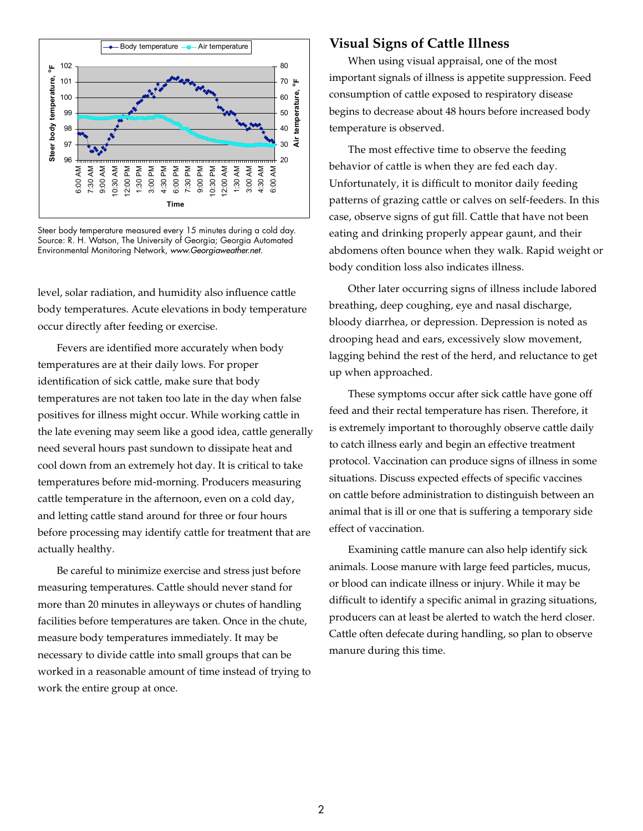

Steer body temperature measured every 15 minutes during a cold day. Source: R. H. Watson, The University of Georgia; Georgia Automated Environmental Monitoring Network, *www.Georgiaweather.net.*

level, solar radiation, and humidity also influence cattle body temperatures. Acute elevations in body temperature occur directly after feeding or exercise.

Fevers are identified more accurately when body temperatures are at their daily lows. For proper identification of sick cattle, make sure that body temperatures are not taken too late in the day when false positives for illness might occur. While working cattle in the late evening may seem like a good idea, cattle generally need several hours past sundown to dissipate heat and cool down from an extremely hot day. It is critical to take temperatures before mid-morning. Producers measuring cattle temperature in the afternoon, even on a cold day, and letting cattle stand around for three or four hours before processing may identify cattle for treatment that are actually healthy.

Be careful to minimize exercise and stress just before measuring temperatures. Cattle should never stand for more than 20 minutes in alleyways or chutes of handling facilities before temperatures are taken. Once in the chute, measure body temperatures immediately. It may be necessary to divide cattle into small groups that can be worked in a reasonable amount of time instead of trying to work the entire group at once.

### **Visual Signs of Cattle Illness**

When using visual appraisal, one of the most important signals of illness is appetite suppression. Feed consumption of cattle exposed to respiratory disease begins to decrease about 48 hours before increased body temperature is observed.

The most effective time to observe the feeding behavior of cattle is when they are fed each day. Unfortunately, it is difficult to monitor daily feeding patterns of grazing cattle or calves on self-feeders. In this case, observe signs of gut fill. Cattle that have not been eating and drinking properly appear gaunt, and their abdomens often bounce when they walk. Rapid weight or body condition loss also indicates illness.

Other later occurring signs of illness include labored breathing, deep coughing, eye and nasal discharge, bloody diarrhea, or depression. Depression is noted as drooping head and ears, excessively slow movement, lagging behind the rest of the herd, and reluctance to get up when approached.

These symptoms occur after sick cattle have gone off feed and their rectal temperature has risen. Therefore, it is extremely important to thoroughly observe cattle daily to catch illness early and begin an effective treatment protocol. Vaccination can produce signs of illness in some situations. Discuss expected effects of specific vaccines on cattle before administration to distinguish between an animal that is ill or one that is suffering a temporary side effect of vaccination.

Examining cattle manure can also help identify sick animals. Loose manure with large feed particles, mucus, or blood can indicate illness or injury. While it may be difficult to identify a specific animal in grazing situations, producers can at least be alerted to watch the herd closer. Cattle often defecate during handling, so plan to observe manure during this time.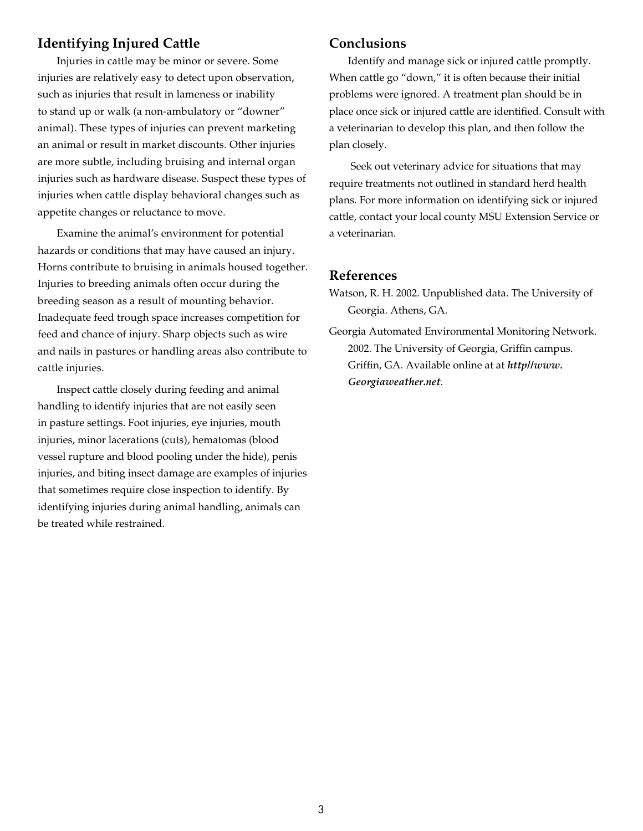## **Identifying Injured Cattle**

Injuries in cattle may be minor or severe. Some injuries are relatively easy to detect upon observation, such as injuries that result in lameness or inability to stand up or walk (a non-ambulatory or "downer" animal). These types of injuries can prevent marketing an animal or result in market discounts. Other injuries are more subtle, including bruising and internal organ injuries such as hardware disease. Suspect these types of injuries when cattle display behavioral changes such as appetite changes or reluctance to move.

Examine the animal's environment for potential hazards or conditions that may have caused an injury. Horns contribute to bruising in animals housed together. Injuries to breeding animals often occur during the breeding season as a result of mounting behavior. Inadequate feed trough space increases competition for feed and chance of injury. Sharp objects such as wire and nails in pastures or handling areas also contribute to cattle injuries.

Inspect cattle closely during feeding and animal handling to identify injuries that are not easily seen in pasture settings. Foot injuries, eye injuries, mouth injuries, minor lacerations (cuts), hematomas (blood vessel rupture and blood pooling under the hide), penis injuries, and biting insect damage are examples of injuries that sometimes require close inspection to identify. By identifying injuries during animal handling, animals can be treated while restrained.

### **Conclusions**

Identify and manage sick or injured cattle promptly. When cattle go "down," it is often because their initial problems were ignored. A treatment plan should be in place once sick or injured cattle are identified. Consult with a veterinarian to develop this plan, and then follow the plan closely.

 Seek out veterinary advice for situations that may require treatments not outlined in standard herd health plans. For more information on identifying sick or injured cattle, contact your local county MSU Extension Service or a veterinarian.

#### **References**

- Watson, R. H. 2002. Unpublished data. The University of Georgia. Athens, GA.
- Georgia Automated Environmental Monitoring Network. 2002. The University of Georgia, Griffin campus. Griffin, GA. Available online at at *http//www. Georgiaweather.net*.